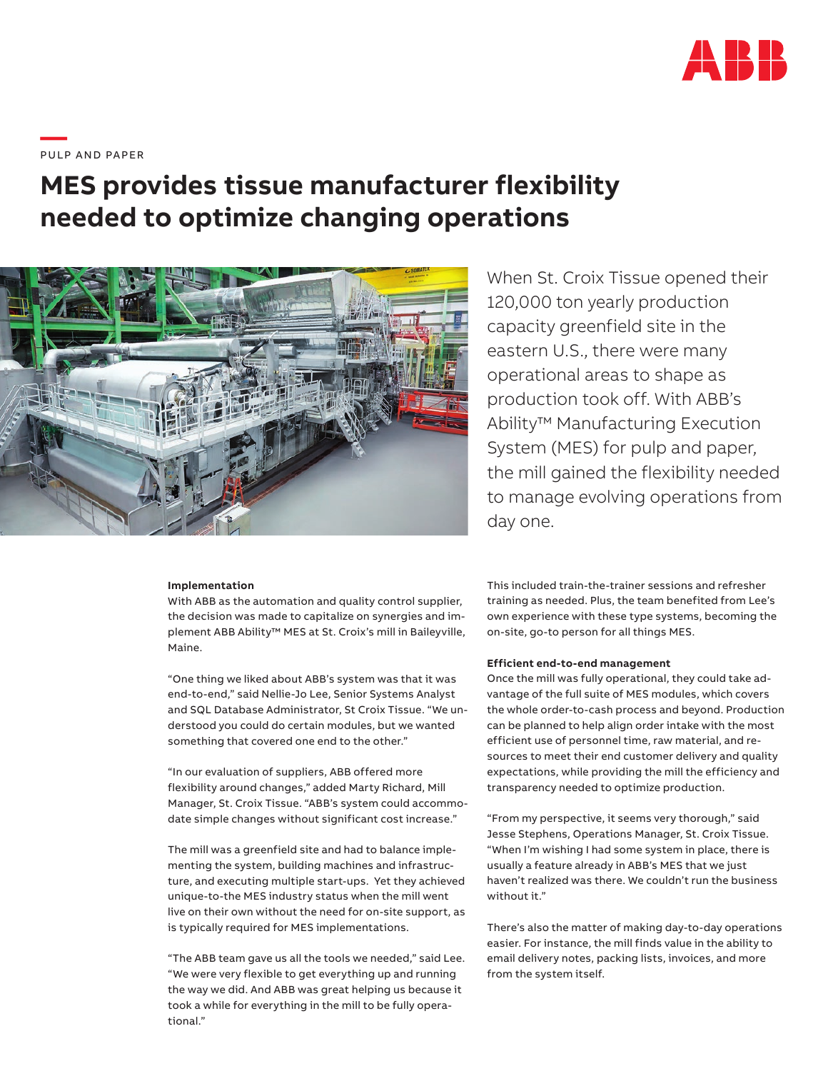

**—**  PULP AND PAPER

# **MES provides tissue manufacturer flexibility needed to optimize changing operations**



## **Implementation**

With ABB as the automation and quality control supplier, the decision was made to capitalize on synergies and implement ABB Ability™ MES at St. Croix's mill in Baileyville, Maine.

"One thing we liked about ABB's system was that it was end-to-end," said Nellie-Jo Lee, Senior Systems Analyst and SQL Database Administrator, St Croix Tissue. "We understood you could do certain modules, but we wanted something that covered one end to the other."

"In our evaluation of suppliers, ABB offered more flexibility around changes," added Marty Richard, Mill Manager, St. Croix Tissue. "ABB's system could accommodate simple changes without significant cost increase."

The mill was a greenfield site and had to balance implementing the system, building machines and infrastructure, and executing multiple start-ups. Yet they achieved unique-to-the MES industry status when the mill went live on their own without the need for on-site support, as is typically required for MES implementations.

"The ABB team gave us all the tools we needed," said Lee. "We were very flexible to get everything up and running the way we did. And ABB was great helping us because it took a while for everything in the mill to be fully operational."

When St. Croix Tissue opened their 120,000 ton yearly production capacity greenfield site in the eastern U.S., there were many operational areas to shape as production took off. With ABB's Ability™ Manufacturing Execution System (MES) for pulp and paper, the mill gained the flexibility needed to manage evolving operations from day one.

This included train-the-trainer sessions and refresher training as needed. Plus, the team benefited from Lee's own experience with these type systems, becoming the on-site, go-to person for all things MES.

#### **Efficient end-to-end management**

Once the mill was fully operational, they could take advantage of the full suite of MES modules, which covers the whole order-to-cash process and beyond. Production can be planned to help align order intake with the most efficient use of personnel time, raw material, and resources to meet their end customer delivery and quality expectations, while providing the mill the efficiency and transparency needed to optimize production.

"From my perspective, it seems very thorough," said Jesse Stephens, Operations Manager, St. Croix Tissue. "When I'm wishing I had some system in place, there is usually a feature already in ABB's MES that we just haven't realized was there. We couldn't run the business without it."

There's also the matter of making day-to-day operations easier. For instance, the mill finds value in the ability to email delivery notes, packing lists, invoices, and more from the system itself.